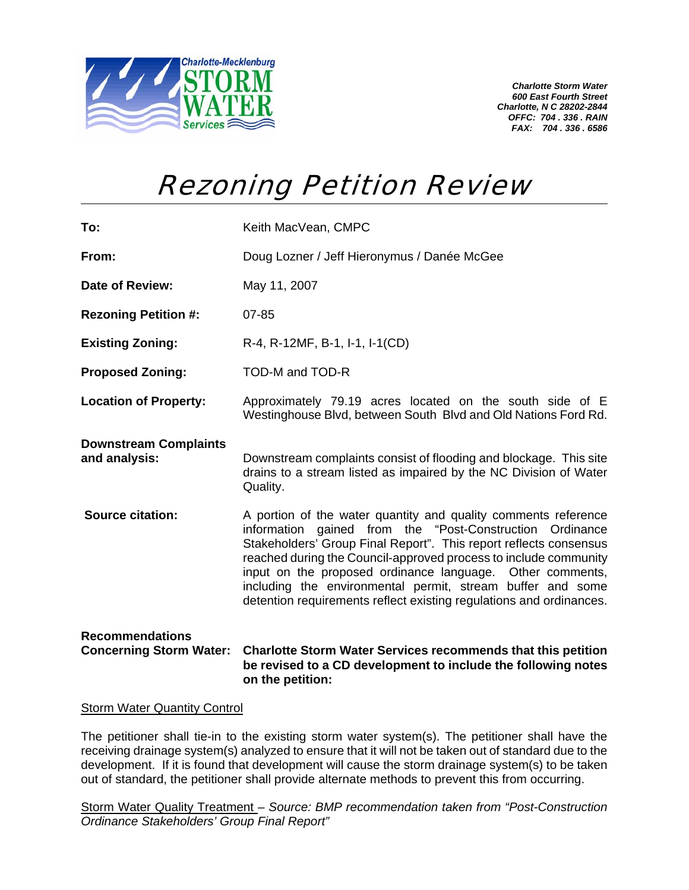

*Charlotte Storm Water 600 East Fourth Street Charlotte, N C 28202-2844 OFFC: 704 . 336 . RAIN FAX: 704 . 336 . 6586* 

## Rezoning Petition Review

| To:                                                      | Keith MacVean, CMPC                                                                                                                                                                                                                                                                                                                                                                                                                                                   |
|----------------------------------------------------------|-----------------------------------------------------------------------------------------------------------------------------------------------------------------------------------------------------------------------------------------------------------------------------------------------------------------------------------------------------------------------------------------------------------------------------------------------------------------------|
| From:                                                    | Doug Lozner / Jeff Hieronymus / Danée McGee                                                                                                                                                                                                                                                                                                                                                                                                                           |
| Date of Review:                                          | May 11, 2007                                                                                                                                                                                                                                                                                                                                                                                                                                                          |
| <b>Rezoning Petition #:</b>                              | $07 - 85$                                                                                                                                                                                                                                                                                                                                                                                                                                                             |
| <b>Existing Zoning:</b>                                  | R-4, R-12MF, B-1, I-1, I-1(CD)                                                                                                                                                                                                                                                                                                                                                                                                                                        |
| <b>Proposed Zoning:</b>                                  | TOD-M and TOD-R                                                                                                                                                                                                                                                                                                                                                                                                                                                       |
| <b>Location of Property:</b>                             | Approximately 79.19 acres located on the south side of E<br>Westinghouse Blvd, between South Blvd and Old Nations Ford Rd.                                                                                                                                                                                                                                                                                                                                            |
| <b>Downstream Complaints</b><br>and analysis:            | Downstream complaints consist of flooding and blockage. This site<br>drains to a stream listed as impaired by the NC Division of Water<br>Quality.                                                                                                                                                                                                                                                                                                                    |
| <b>Source citation:</b>                                  | A portion of the water quantity and quality comments reference<br>information gained from the "Post-Construction Ordinance<br>Stakeholders' Group Final Report". This report reflects consensus<br>reached during the Council-approved process to include community<br>input on the proposed ordinance language. Other comments,<br>including the environmental permit, stream buffer and some<br>detention requirements reflect existing regulations and ordinances. |
| <b>Recommendations</b><br><b>Concerning Storm Water:</b> | <b>Charlotte Storm Water Services recommends that this petition</b><br>be revised to a CD development to include the following notes<br>on the petition:                                                                                                                                                                                                                                                                                                              |

## Storm Water Quantity Control

The petitioner shall tie-in to the existing storm water system(s). The petitioner shall have the receiving drainage system(s) analyzed to ensure that it will not be taken out of standard due to the development. If it is found that development will cause the storm drainage system(s) to be taken out of standard, the petitioner shall provide alternate methods to prevent this from occurring.

Storm Water Quality Treatment *– Source: BMP recommendation taken from "Post-Construction Ordinance Stakeholders' Group Final Report"*